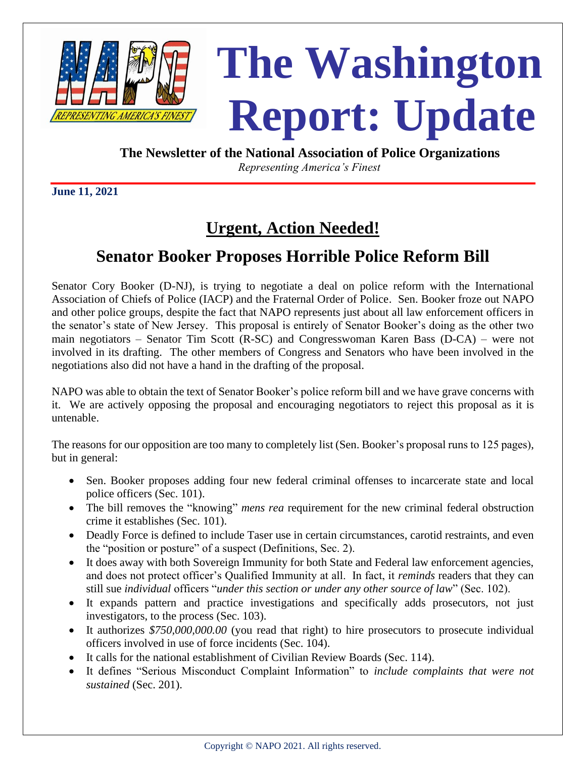

## **The Washington**  Report: Update

**The Newsletter of the National Association of Police Organizations**

 *Representing America's Finest*

**June 11, 2021**

## **Urgent, Action Needed!**

## **Senator Booker Proposes Horrible Police Reform Bill**

Senator Cory Booker (D-NJ), is trying to negotiate a deal on police reform with the International Association of Chiefs of Police (IACP) and the Fraternal Order of Police. Sen. Booker froze out NAPO and other police groups, despite the fact that NAPO represents just about all law enforcement officers in the senator's state of New Jersey. This proposal is entirely of Senator Booker's doing as the other two main negotiators – Senator Tim Scott (R-SC) and Congresswoman Karen Bass (D-CA) – were not involved in its drafting. The other members of Congress and Senators who have been involved in the negotiations also did not have a hand in the drafting of the proposal.

NAPO was able to obtain the text of Senator Booker's police reform bill and we have grave concerns with it. We are actively opposing the proposal and encouraging negotiators to reject this proposal as it is untenable.

The reasons for our opposition are too many to completely list (Sen. Booker's proposal runs to 125 pages), but in general:

- Sen. Booker proposes adding four new federal criminal offenses to incarcerate state and local police officers (Sec. 101).
- The bill removes the "knowing" *mens rea* requirement for the new criminal federal obstruction crime it establishes (Sec. 101).
- Deadly Force is defined to include Taser use in certain circumstances, carotid restraints, and even the "position or posture" of a suspect (Definitions, Sec. 2).
- It does away with both Sovereign Immunity for both State and Federal law enforcement agencies, and does not protect officer's Qualified Immunity at all. In fact, it *reminds* readers that they can still sue *individual* officers "*under this section or under any other source of law*" (Sec. 102).
- It expands pattern and practice investigations and specifically adds prosecutors, not just investigators, to the process (Sec. 103).
- It authorizes *\$750,000,000.00* (you read that right) to hire prosecutors to prosecute individual officers involved in use of force incidents (Sec. 104).
- It calls for the national establishment of Civilian Review Boards (Sec. 114).
- It defines "Serious Misconduct Complaint Information" to *include complaints that were not sustained* (Sec. 201).